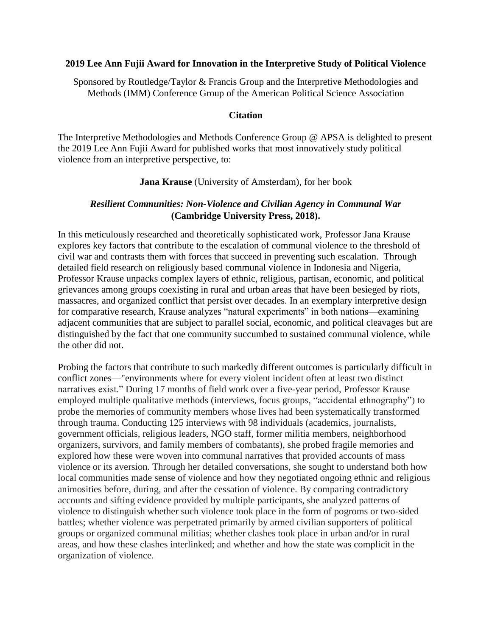## **2019 Lee Ann Fujii Award for Innovation in the Interpretive Study of Political Violence**

Sponsored by Routledge/Taylor & Francis Group and the Interpretive Methodologies and Methods (IMM) Conference Group of the American Political Science Association

## **Citation**

The Interpretive Methodologies and Methods Conference Group @ APSA is delighted to present the 2019 Lee Ann Fujii Award for published works that most innovatively study political violence from an interpretive perspective, to:

## **Jana Krause** (University of Amsterdam), for her book

# *Resilient Communities: Non-Violence and Civilian Agency in Communal War*  **(Cambridge University Press, 2018).**

In this meticulously researched and theoretically sophisticated work, Professor Jana Krause explores key factors that contribute to the escalation of communal violence to the threshold of civil war and contrasts them with forces that succeed in preventing such escalation. Through detailed field research on religiously based communal violence in Indonesia and Nigeria, Professor Krause unpacks complex layers of ethnic, religious, partisan, economic, and political grievances among groups coexisting in rural and urban areas that have been besieged by riots, massacres, and organized conflict that persist over decades. In an exemplary interpretive design for comparative research, Krause analyzes "natural experiments" in both nations—examining adjacent communities that are subject to parallel social, economic, and political cleavages but are distinguished by the fact that one community succumbed to sustained communal violence, while the other did not.

Probing the factors that contribute to such markedly different outcomes is particularly difficult in conflict zones—"environments where for every violent incident often at least two distinct narratives exist." During 17 months of field work over a five-year period, Professor Krause employed multiple qualitative methods (interviews, focus groups, "accidental ethnography") to probe the memories of community members whose lives had been systematically transformed through trauma. Conducting 125 interviews with 98 individuals (academics, journalists, government officials, religious leaders, NGO staff, former militia members, neighborhood organizers, survivors, and family members of combatants), she probed fragile memories and explored how these were woven into communal narratives that provided accounts of mass violence or its aversion. Through her detailed conversations, she sought to understand both how local communities made sense of violence and how they negotiated ongoing ethnic and religious animosities before, during, and after the cessation of violence. By comparing contradictory accounts and sifting evidence provided by multiple participants, she analyzed patterns of violence to distinguish whether such violence took place in the form of pogroms or two-sided battles; whether violence was perpetrated primarily by armed civilian supporters of political groups or organized communal militias; whether clashes took place in urban and/or in rural areas, and how these clashes interlinked; and whether and how the state was complicit in the organization of violence.